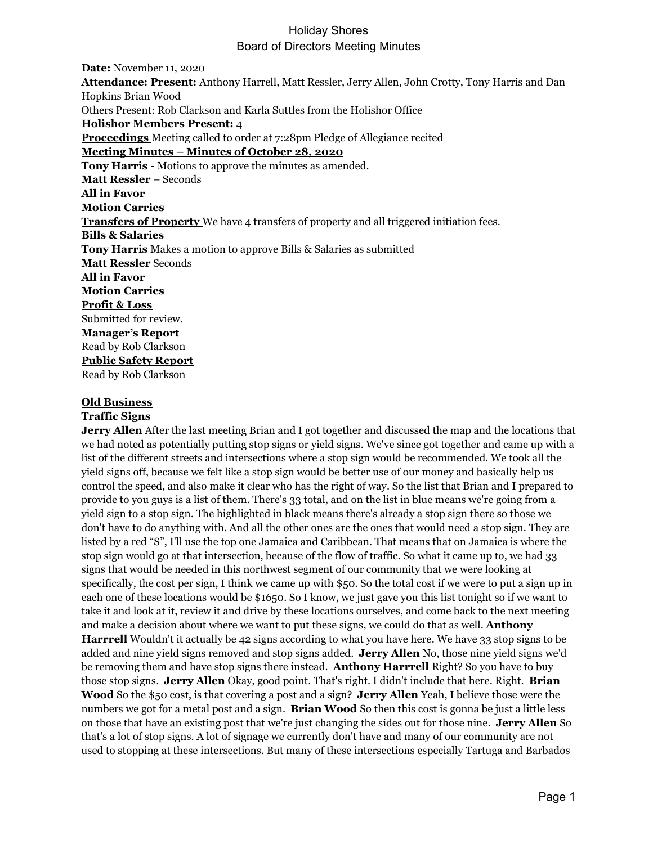**Date:** November 11, 2020 **Attendance: Present:** Anthony Harrell, Matt Ressler, Jerry Allen, John Crotty, Tony Harris and Dan Hopkins Brian Wood Others Present: Rob Clarkson and Karla Suttles from the Holishor Office **Holishor Members Present:** 4 **Proceedings** Meeting called to order at 7:28pm Pledge of Allegiance recited **Meeting Minutes – Minutes of October 28, 2020 Tony Harris -** Motions to approve the minutes as amended. **Matt Ressler** – Seconds **All in Favor Motion Carries Transfers of Property** We have 4 transfers of property and all triggered initiation fees. **Bills & Salaries Tony Harris** Makes a motion to approve Bills & Salaries as submitted **Matt Ressler** Seconds **All in Favor Motion Carries Profit & Loss** Submitted for review. **Manager's Report** Read by Rob Clarkson **Public Safety Report** Read by Rob Clarkson

#### **Old Business**

### **Traffic Signs**

**Jerry Allen** After the last meeting Brian and I got together and discussed the map and the locations that we had noted as potentially putting stop signs or yield signs. We've since got together and came up with a list of the different streets and intersections where a stop sign would be recommended. We took all the yield signs off, because we felt like a stop sign would be better use of our money and basically help us control the speed, and also make it clear who has the right of way. So the list that Brian and I prepared to provide to you guys is a list of them. There's 33 total, and on the list in blue means we're going from a yield sign to a stop sign. The highlighted in black means there's already a stop sign there so those we don't have to do anything with. And all the other ones are the ones that would need a stop sign. They are listed by a red "S", I'll use the top one Jamaica and Caribbean. That means that on Jamaica is where the stop sign would go at that intersection, because of the flow of traffic. So what it came up to, we had 33 signs that would be needed in this northwest segment of our community that we were looking at specifically, the cost per sign, I think we came up with \$50. So the total cost if we were to put a sign up in each one of these locations would be \$1650. So I know, we just gave you this list tonight so if we want to take it and look at it, review it and drive by these locations ourselves, and come back to the next meeting and make a decision about where we want to put these signs, we could do that as well. **Anthony Harrrell** Wouldn't it actually be 42 signs according to what you have here. We have 33 stop signs to be added and nine yield signs removed and stop signs added. **Jerry Allen** No, those nine yield signs we'd be removing them and have stop signs there instead. **Anthony Harrrell** Right? So you have to buy those stop signs. **Jerry Allen** Okay, good point. That's right. I didn't include that here. Right. **Brian Wood** So the \$50 cost, is that covering a post and a sign? **Jerry Allen** Yeah, I believe those were the numbers we got for a metal post and a sign. **Brian Wood** So then this cost is gonna be just a little less on those that have an existing post that we're just changing the sides out for those nine. **Jerry Allen** So that's a lot of stop signs. A lot of signage we currently don't have and many of our community are not used to stopping at these intersections. But many of these intersections especially Tartuga and Barbados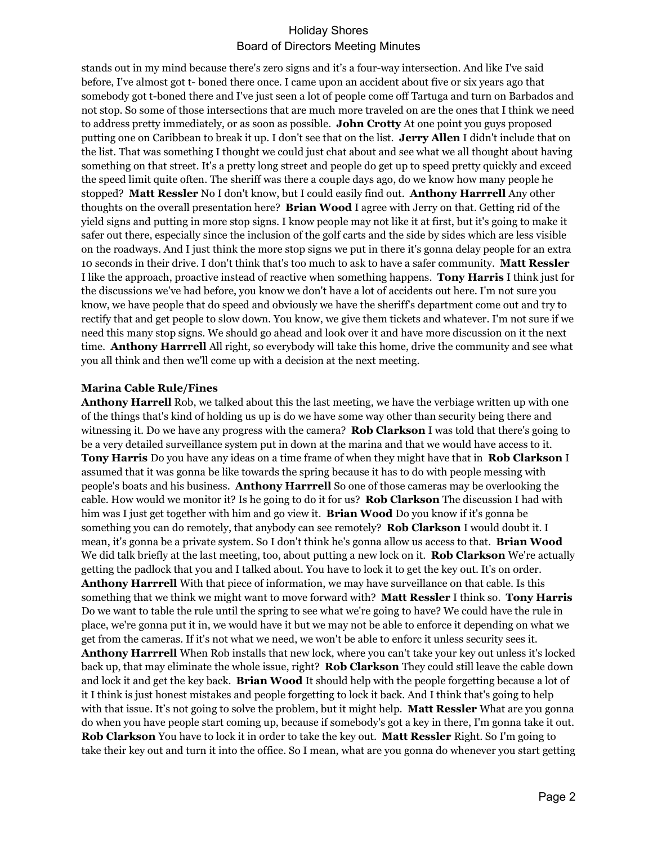stands out in my mind because there's zero signs and it's a four-way intersection. And like I've said before, I've almost got t- boned there once. I came upon an accident about five or six years ago that somebody got t-boned there and I've just seen a lot of people come off Tartuga and turn on Barbados and not stop. So some of those intersections that are much more traveled on are the ones that I think we need to address pretty immediately, or as soon as possible. **John Crotty** At one point you guys proposed putting one on Caribbean to break it up. I don't see that on the list. **Jerry Allen** I didn't include that on the list. That was something I thought we could just chat about and see what we all thought about having something on that street. It's a pretty long street and people do get up to speed pretty quickly and exceed the speed limit quite often. The sheriff was there a couple days ago, do we know how many people he stopped? **Matt Ressler** No I don't know, but I could easily find out. **Anthony Harrrell** Any other thoughts on the overall presentation here? **Brian Wood** I agree with Jerry on that. Getting rid of the yield signs and putting in more stop signs. I know people may not like it at first, but it's going to make it safer out there, especially since the inclusion of the golf carts and the side by sides which are less visible on the roadways. And I just think the more stop signs we put in there it's gonna delay people for an extra 10 seconds in their drive. I don't think that's too much to ask to have a safer community. **Matt Ressler** I like the approach, proactive instead of reactive when something happens. **Tony Harris** I think just for the discussions we've had before, you know we don't have a lot of accidents out here. I'm not sure you know, we have people that do speed and obviously we have the sheriff's department come out and try to rectify that and get people to slow down. You know, we give them tickets and whatever. I'm not sure if we need this many stop signs. We should go ahead and look over it and have more discussion on it the next time. **Anthony Harrrell** All right, so everybody will take this home, drive the community and see what you all think and then we'll come up with a decision at the next meeting.

#### **Marina Cable Rule/Fines**

**Anthony Harrell** Rob, we talked about this the last meeting, we have the verbiage written up with one of the things that's kind of holding us up is do we have some way other than security being there and witnessing it. Do we have any progress with the camera? **Rob Clarkson** I was told that there's going to be a very detailed surveillance system put in down at the marina and that we would have access to it. **Tony Harris** Do you have any ideas on a time frame of when they might have that in **Rob Clarkson** I assumed that it was gonna be like towards the spring because it has to do with people messing with people's boats and his business. **Anthony Harrrell** So one of those cameras may be overlooking the cable. How would we monitor it? Is he going to do it for us? **Rob Clarkson** The discussion I had with him was I just get together with him and go view it. **Brian Wood** Do you know if it's gonna be something you can do remotely, that anybody can see remotely? **Rob Clarkson** I would doubt it. I mean, it's gonna be a private system. So I don't think he's gonna allow us access to that. **Brian Wood** We did talk briefly at the last meeting, too, about putting a new lock on it. **Rob Clarkson** We're actually getting the padlock that you and I talked about. You have to lock it to get the key out. It's on order. **Anthony Harrrell** With that piece of information, we may have surveillance on that cable. Is this something that we think we might want to move forward with? **Matt Ressler** I think so. **Tony Harris** Do we want to table the rule until the spring to see what we're going to have? We could have the rule in place, we're gonna put it in, we would have it but we may not be able to enforce it depending on what we get from the cameras. If it's not what we need, we won't be able to enforc it unless security sees it. **Anthony Harrrell** When Rob installs that new lock, where you can't take your key out unless it's locked back up, that may eliminate the whole issue, right? **Rob Clarkson** They could still leave the cable down and lock it and get the key back. **Brian Wood** It should help with the people forgetting because a lot of it I think is just honest mistakes and people forgetting to lock it back. And I think that's going to help with that issue. It's not going to solve the problem, but it might help. **Matt Ressler** What are you gonna do when you have people start coming up, because if somebody's got a key in there, I'm gonna take it out. **Rob Clarkson** You have to lock it in order to take the key out. **Matt Ressler** Right. So I'm going to take their key out and turn it into the office. So I mean, what are you gonna do whenever you start getting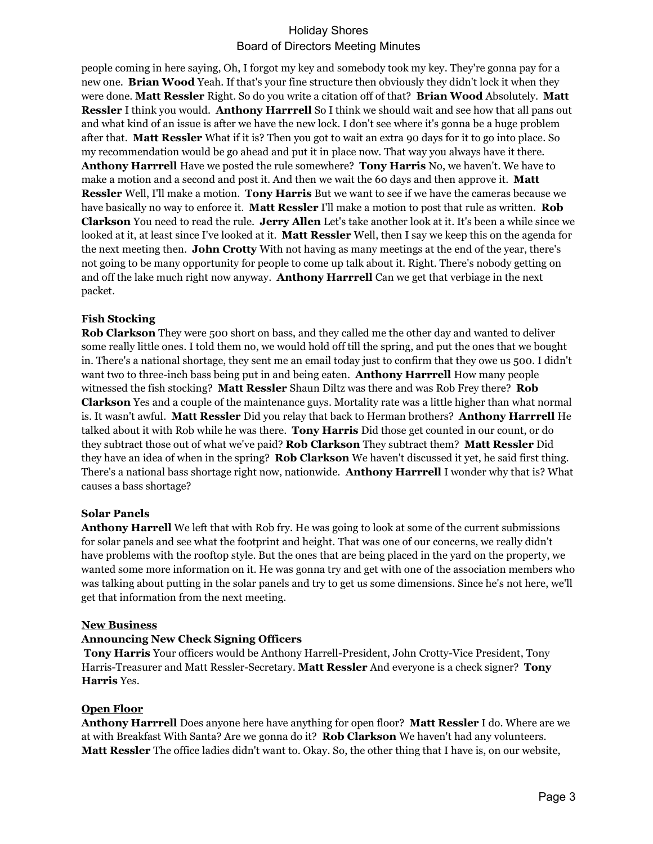people coming in here saying, Oh, I forgot my key and somebody took my key. They're gonna pay for a new one. **Brian Wood** Yeah. If that's your fine structure then obviously they didn't lock it when they were done. **Matt Ressler** Right. So do you write a citation off of that? **Brian Wood** Absolutely. **Matt Ressler** I think you would. **Anthony Harrrell** So I think we should wait and see how that all pans out and what kind of an issue is after we have the new lock. I don't see where it's gonna be a huge problem after that. **Matt Ressler** What if it is? Then you got to wait an extra 90 days for it to go into place. So my recommendation would be go ahead and put it in place now. That way you always have it there. **Anthony Harrrell** Have we posted the rule somewhere? **Tony Harris** No, we haven't. We have to make a motion and a second and post it. And then we wait the 60 days and then approve it. **Matt Ressler** Well, I'll make a motion. **Tony Harris** But we want to see if we have the cameras because we have basically no way to enforce it. **Matt Ressler** I'll make a motion to post that rule as written. **Rob Clarkson** You need to read the rule. **Jerry Allen** Let's take another look at it. It's been a while since we looked at it, at least since I've looked at it. **Matt Ressler** Well, then I say we keep this on the agenda for the next meeting then. **John Crotty** With not having as many meetings at the end of the year, there's not going to be many opportunity for people to come up talk about it. Right. There's nobody getting on and off the lake much right now anyway. **Anthony Harrrell** Can we get that verbiage in the next packet.

### **Fish Stocking**

**Rob Clarkson** They were 500 short on bass, and they called me the other day and wanted to deliver some really little ones. I told them no, we would hold off till the spring, and put the ones that we bought in. There's a national shortage, they sent me an email today just to confirm that they owe us 500. I didn't want two to three-inch bass being put in and being eaten. **Anthony Harrrell** How many people witnessed the fish stocking? **Matt Ressler** Shaun Diltz was there and was Rob Frey there? **Rob Clarkson** Yes and a couple of the maintenance guys. Mortality rate was a little higher than what normal is. It wasn't awful. **Matt Ressler** Did you relay that back to Herman brothers? **Anthony Harrrell** He talked about it with Rob while he was there. **Tony Harris** Did those get counted in our count, or do they subtract those out of what we've paid? **Rob Clarkson** They subtract them? **Matt Ressler** Did they have an idea of when in the spring? **Rob Clarkson** We haven't discussed it yet, he said first thing. There's a national bass shortage right now, nationwide. **Anthony Harrrell** I wonder why that is? What causes a bass shortage?

#### **Solar Panels**

**Anthony Harrell** We left that with Rob fry. He was going to look at some of the current submissions for solar panels and see what the footprint and height. That was one of our concerns, we really didn't have problems with the rooftop style. But the ones that are being placed in the yard on the property, we wanted some more information on it. He was gonna try and get with one of the association members who was talking about putting in the solar panels and try to get us some dimensions. Since he's not here, we'll get that information from the next meeting.

#### **New Business**

#### **Announcing New Check Signing Officers**

**Tony Harris** Your officers would be Anthony Harrell-President, John Crotty-Vice President, Tony Harris-Treasurer and Matt Ressler-Secretary. **Matt Ressler** And everyone is a check signer? **Tony Harris** Yes.

#### **Open Floor**

**Anthony Harrrell** Does anyone here have anything for open floor? **Matt Ressler** I do. Where are we at with Breakfast With Santa? Are we gonna do it? **Rob Clarkson** We haven't had any volunteers. **Matt Ressler** The office ladies didn't want to. Okay. So, the other thing that I have is, on our website,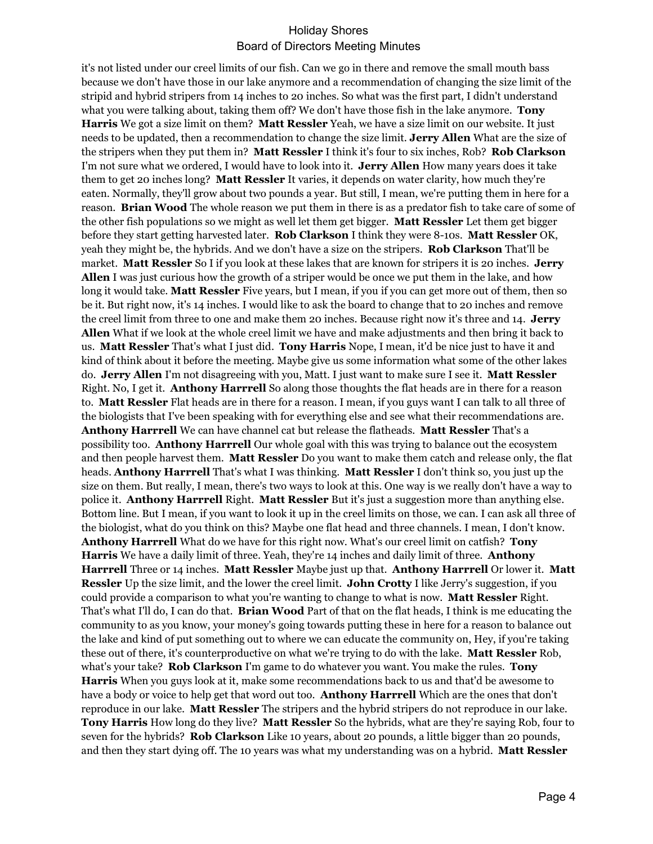it's not listed under our creel limits of our fish. Can we go in there and remove the small mouth bass because we don't have those in our lake anymore and a recommendation of changing the size limit of the stripid and hybrid stripers from 14 inches to 20 inches. So what was the first part, I didn't understand what you were talking about, taking them off? We don't have those fish in the lake anymore. **Tony Harris** We got a size limit on them? **Matt Ressler** Yeah, we have a size limit on our website. It just needs to be updated, then a recommendation to change the size limit. **Jerry Allen** What are the size of the stripers when they put them in? **Matt Ressler** I think it's four to six inches, Rob? **Rob Clarkson** I'm not sure what we ordered, I would have to look into it. **Jerry Allen** How many years does it take them to get 20 inches long? **Matt Ressler** It varies, it depends on water clarity, how much they're eaten. Normally, they'll grow about two pounds a year. But still, I mean, we're putting them in here for a reason. **Brian Wood** The whole reason we put them in there is as a predator fish to take care of some of the other fish populations so we might as well let them get bigger. **Matt Ressler** Let them get bigger before they start getting harvested later. **Rob Clarkson** I think they were 8-10s. **Matt Ressler** OK, yeah they might be, the hybrids. And we don't have a size on the stripers. **Rob Clarkson** That'll be market. **Matt Ressler** So I if you look at these lakes that are known for stripers it is 20 inches. **Jerry Allen** I was just curious how the growth of a striper would be once we put them in the lake, and how long it would take. **Matt Ressler** Five years, but I mean, if you if you can get more out of them, then so be it. But right now, it's 14 inches. I would like to ask the board to change that to 20 inches and remove the creel limit from three to one and make them 20 inches. Because right now it's three and 14. **Jerry Allen** What if we look at the whole creel limit we have and make adjustments and then bring it back to us. **Matt Ressler** That's what I just did. **Tony Harris** Nope, I mean, it'd be nice just to have it and kind of think about it before the meeting. Maybe give us some information what some of the other lakes do. **Jerry Allen** I'm not disagreeing with you, Matt. I just want to make sure I see it. **Matt Ressler** Right. No, I get it. **Anthony Harrrell** So along those thoughts the flat heads are in there for a reason to. **Matt Ressler** Flat heads are in there for a reason. I mean, if you guys want I can talk to all three of the biologists that I've been speaking with for everything else and see what their recommendations are. **Anthony Harrrell** We can have channel cat but release the flatheads. **Matt Ressler** That's a possibility too. **Anthony Harrrell** Our whole goal with this was trying to balance out the ecosystem and then people harvest them. **Matt Ressler** Do you want to make them catch and release only, the flat heads. **Anthony Harrrell** That's what I was thinking. **Matt Ressler** I don't think so, you just up the size on them. But really, I mean, there's two ways to look at this. One way is we really don't have a way to police it. **Anthony Harrrell** Right. **Matt Ressler** But it's just a suggestion more than anything else. Bottom line. But I mean, if you want to look it up in the creel limits on those, we can. I can ask all three of the biologist, what do you think on this? Maybe one flat head and three channels. I mean, I don't know. **Anthony Harrrell** What do we have for this right now. What's our creel limit on catfish? **Tony Harris** We have a daily limit of three. Yeah, they're 14 inches and daily limit of three. **Anthony Harrrell** Three or 14 inches. **Matt Ressler** Maybe just up that. **Anthony Harrrell** Or lower it. **Matt Ressler** Up the size limit, and the lower the creel limit. **John Crotty** I like Jerry's suggestion, if you could provide a comparison to what you're wanting to change to what is now. **Matt Ressler** Right. That's what I'll do, I can do that. **Brian Wood** Part of that on the flat heads, I think is me educating the community to as you know, your money's going towards putting these in here for a reason to balance out the lake and kind of put something out to where we can educate the community on, Hey, if you're taking these out of there, it's counterproductive on what we're trying to do with the lake. **Matt Ressler** Rob, what's your take? **Rob Clarkson** I'm game to do whatever you want. You make the rules. **Tony Harris** When you guys look at it, make some recommendations back to us and that'd be awesome to have a body or voice to help get that word out too. **Anthony Harrrell** Which are the ones that don't reproduce in our lake. **Matt Ressler** The stripers and the hybrid stripers do not reproduce in our lake. **Tony Harris** How long do they live? **Matt Ressler** So the hybrids, what are they're saying Rob, four to seven for the hybrids? **Rob Clarkson** Like 10 years, about 20 pounds, a little bigger than 20 pounds, and then they start dying off. The 10 years was what my understanding was on a hybrid. **Matt Ressler**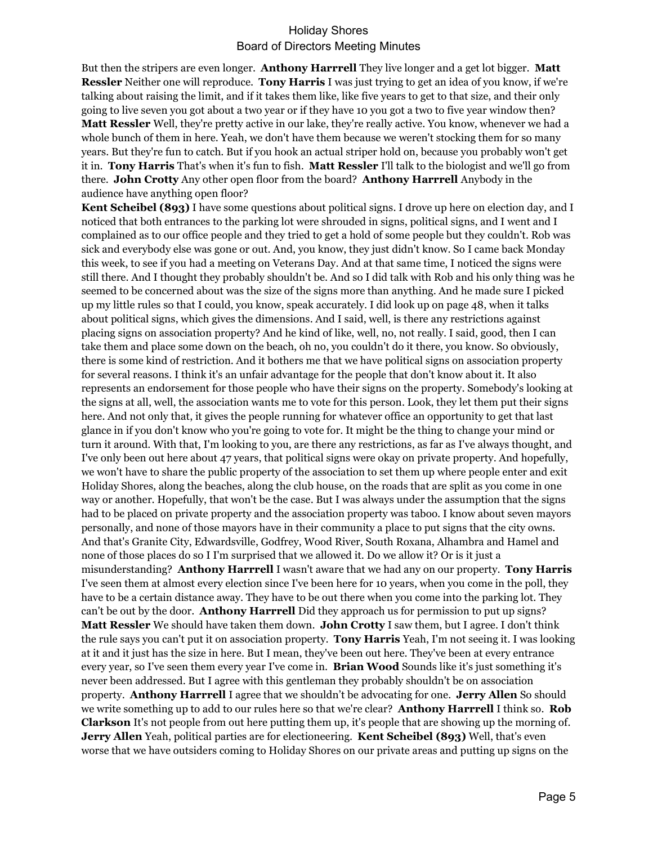But then the stripers are even longer. **Anthony Harrrell** They live longer and a get lot bigger. **Matt Ressler** Neither one will reproduce. **Tony Harris** I was just trying to get an idea of you know, if we're talking about raising the limit, and if it takes them like, like five years to get to that size, and their only going to live seven you got about a two year or if they have 10 you got a two to five year window then? **Matt Ressler** Well, they're pretty active in our lake, they're really active. You know, whenever we had a whole bunch of them in here. Yeah, we don't have them because we weren't stocking them for so many years. But they're fun to catch. But if you hook an actual striper hold on, because you probably won't get it in. **Tony Harris** That's when it's fun to fish. **Matt Ressler** I'll talk to the biologist and we'll go from there. **John Crotty** Any other open floor from the board? **Anthony Harrrell** Anybody in the audience have anything open floor?

**Kent Scheibel (893)** I have some questions about political signs. I drove up here on election day, and I noticed that both entrances to the parking lot were shrouded in signs, political signs, and I went and I complained as to our office people and they tried to get a hold of some people but they couldn't. Rob was sick and everybody else was gone or out. And, you know, they just didn't know. So I came back Monday this week, to see if you had a meeting on Veterans Day. And at that same time, I noticed the signs were still there. And I thought they probably shouldn't be. And so I did talk with Rob and his only thing was he seemed to be concerned about was the size of the signs more than anything. And he made sure I picked up my little rules so that I could, you know, speak accurately. I did look up on page 48, when it talks about political signs, which gives the dimensions. And I said, well, is there any restrictions against placing signs on association property? And he kind of like, well, no, not really. I said, good, then I can take them and place some down on the beach, oh no, you couldn't do it there, you know. So obviously, there is some kind of restriction. And it bothers me that we have political signs on association property for several reasons. I think it's an unfair advantage for the people that don't know about it. It also represents an endorsement for those people who have their signs on the property. Somebody's looking at the signs at all, well, the association wants me to vote for this person. Look, they let them put their signs here. And not only that, it gives the people running for whatever office an opportunity to get that last glance in if you don't know who you're going to vote for. It might be the thing to change your mind or turn it around. With that, I'm looking to you, are there any restrictions, as far as I've always thought, and I've only been out here about 47 years, that political signs were okay on private property. And hopefully, we won't have to share the public property of the association to set them up where people enter and exit Holiday Shores, along the beaches, along the club house, on the roads that are split as you come in one way or another. Hopefully, that won't be the case. But I was always under the assumption that the signs had to be placed on private property and the association property was taboo. I know about seven mayors personally, and none of those mayors have in their community a place to put signs that the city owns. And that's Granite City, Edwardsville, Godfrey, Wood River, South Roxana, Alhambra and Hamel and none of those places do so I I'm surprised that we allowed it. Do we allow it? Or is it just a misunderstanding? **Anthony Harrrell** I wasn't aware that we had any on our property. **Tony Harris** I've seen them at almost every election since I've been here for 10 years, when you come in the poll, they have to be a certain distance away. They have to be out there when you come into the parking lot. They can't be out by the door. **Anthony Harrrell** Did they approach us for permission to put up signs? **Matt Ressler** We should have taken them down. **John Crotty** I saw them, but I agree. I don't think the rule says you can't put it on association property. **Tony Harris** Yeah, I'm not seeing it. I was looking at it and it just has the size in here. But I mean, they've been out here. They've been at every entrance every year, so I've seen them every year I've come in. **Brian Wood** Sounds like it's just something it's never been addressed. But I agree with this gentleman they probably shouldn't be on association property. **Anthony Harrrell** I agree that we shouldn't be advocating for one. **Jerry Allen** So should we write something up to add to our rules here so that we're clear? **Anthony Harrrell** I think so. **Rob Clarkson** It's not people from out here putting them up, it's people that are showing up the morning of. **Jerry Allen** Yeah, political parties are for electioneering. **Kent Scheibel (893)** Well, that's even worse that we have outsiders coming to Holiday Shores on our private areas and putting up signs on the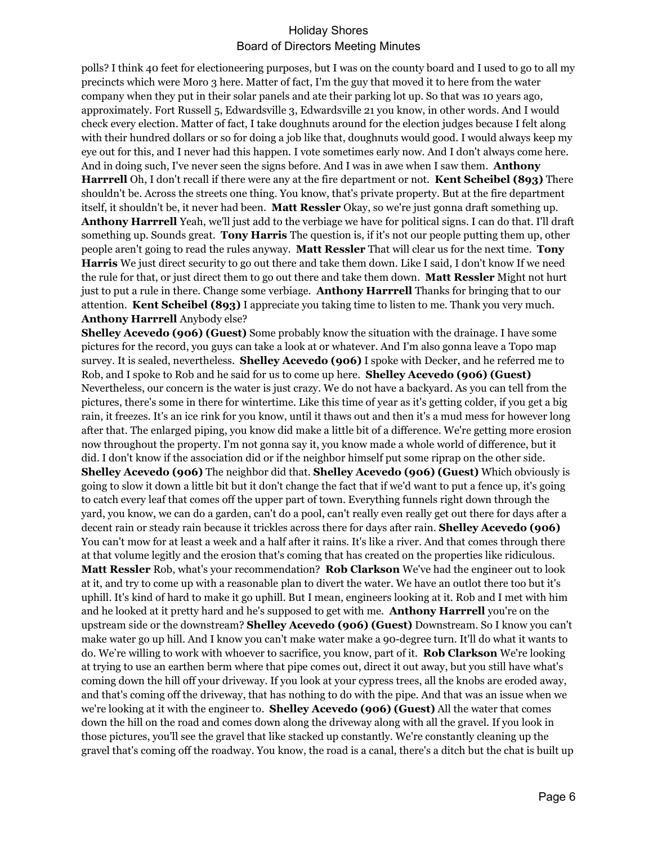polls? I think 40 feet for electioneering purposes, but I was on the county board and I used to go to all my precincts which were Moro 3 here. Matter of fact, I'm the guy that moved it to here from the water company when they put in their solar panels and ate their parking lot up. So that was 10 years ago, approximately. Fort Russell 5, Edwardsville 3, Edwardsville 21 you know, in other words. And I would check every election. Matter of fact, I take doughnuts around for the election judges because I felt along with their hundred dollars or so for doing a job like that, doughnuts would good. I would always keep my eye out for this, and I never had this happen. I vote sometimes early now. And I don't always come here. And in doing such, I've never seen the signs before. And I was in awe when I saw them. **Anthony Harrrell** Oh, I don't recall if there were any at the fire department or not. **Kent Scheibel (893)** There shouldn't be. Across the streets one thing. You know, that's private property. But at the fire department itself, it shouldn't be, it never had been. **Matt Ressler** Okay, so we're just gonna draft something up. **Anthony Harrrell** Yeah, we'll just add to the verbiage we have for political signs. I can do that. I'll draft something up. Sounds great. **Tony Harris** The question is, if it's not our people putting them up, other people aren't going to read the rules anyway. **Matt Ressler** That will clear us for the next time. **Tony Harris** We just direct security to go out there and take them down. Like I said, I don't know If we need the rule for that, or just direct them to go out there and take them down. **Matt Ressler** Might not hurt just to put a rule in there. Change some verbiage. **Anthony Harrrell** Thanks for bringing that to our attention. **Kent Scheibel (893)** I appreciate you taking time to listen to me. Thank you very much. **Anthony Harrrell** Anybody else?

**Shelley Acevedo (906) (Guest)** Some probably know the situation with the drainage. I have some pictures for the record, you guys can take a look at or whatever. And I'm also gonna leave a Topo map survey. It is sealed, nevertheless. **Shelley Acevedo (906)** I spoke with Decker, and he referred me to Rob, and I spoke to Rob and he said for us to come up here. **Shelley Acevedo (906) (Guest)** Nevertheless, our concern is the water is just crazy. We do not have a backyard. As you can tell from the pictures, there's some in there for wintertime. Like this time of year as it's getting colder, if you get a big rain, it freezes. It's an ice rink for you know, until it thaws out and then it's a mud mess for however long after that. The enlarged piping, you know did make a little bit of a difference. We're getting more erosion now throughout the property. I'm not gonna say it, you know made a whole world of difference, but it did. I don't know if the association did or if the neighbor himself put some riprap on the other side. **Shelley Acevedo (906)** The neighbor did that. **Shelley Acevedo (906) (Guest)** Which obviously is going to slow it down a little bit but it don't change the fact that if we'd want to put a fence up, it's going to catch every leaf that comes off the upper part of town. Everything funnels right down through the yard, you know, we can do a garden, can't do a pool, can't really even really get out there for days after a decent rain or steady rain because it trickles across there for days after rain. **Shelley Acevedo (906)** You can't mow for at least a week and a half after it rains. It's like a river. And that comes through there at that volume legitly and the erosion that's coming that has created on the properties like ridiculous. **Matt Ressler** Rob, what's your recommendation? **Rob Clarkson** We've had the engineer out to look at it, and try to come up with a reasonable plan to divert the water. We have an outlot there too but it's uphill. It's kind of hard to make it go uphill. But I mean, engineers looking at it. Rob and I met with him and he looked at it pretty hard and he's supposed to get with me. **Anthony Harrrell** you're on the upstream side or the downstream? **Shelley Acevedo (906) (Guest)** Downstream. So I know you can't make water go up hill. And I know you can't make water make a 90-degree turn. It'll do what it wants to do. We're willing to work with whoever to sacrifice, you know, part of it. **Rob Clarkson** We're looking at trying to use an earthen berm where that pipe comes out, direct it out away, but you still have what's coming down the hill off your driveway. If you look at your cypress trees, all the knobs are eroded away, and that's coming off the driveway, that has nothing to do with the pipe. And that was an issue when we we're looking at it with the engineer to. **Shelley Acevedo (906) (Guest)** All the water that comes down the hill on the road and comes down along the driveway along with all the gravel. If you look in those pictures, you'll see the gravel that like stacked up constantly. We're constantly cleaning up the gravel that's coming off the roadway. You know, the road is a canal, there's a ditch but the chat is built up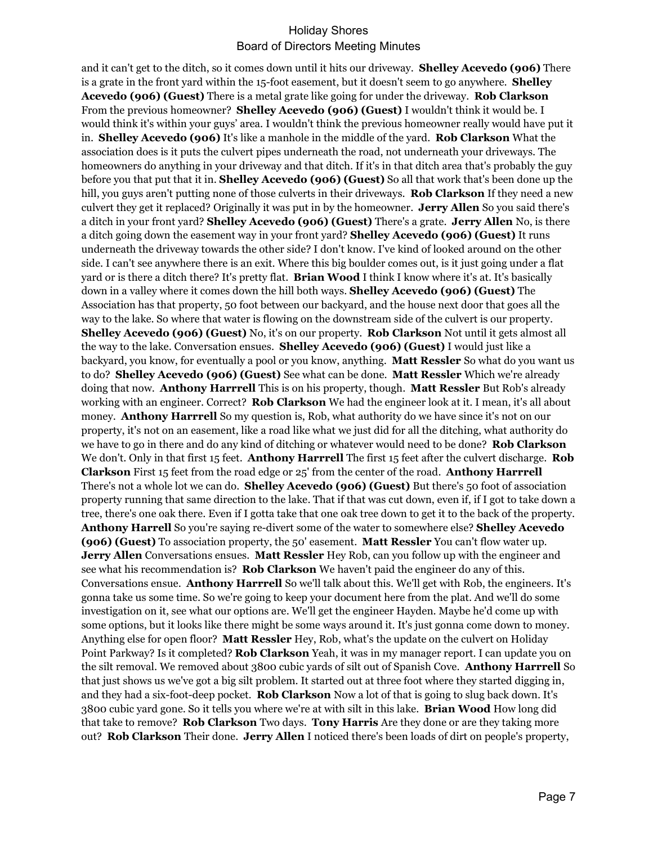and it can't get to the ditch, so it comes down until it hits our driveway. **Shelley Acevedo (906)** There is a grate in the front yard within the 15-foot easement, but it doesn't seem to go anywhere. **Shelley Acevedo (906) (Guest)** There is a metal grate like going for under the driveway. **Rob Clarkson** From the previous homeowner? **Shelley Acevedo (906) (Guest)** I wouldn't think it would be. I would think it's within your guys' area. I wouldn't think the previous homeowner really would have put it in. **Shelley Acevedo (906)** It's like a manhole in the middle of the yard. **Rob Clarkson** What the association does is it puts the culvert pipes underneath the road, not underneath your driveways. The homeowners do anything in your driveway and that ditch. If it's in that ditch area that's probably the guy before you that put that it in. **Shelley Acevedo (906) (Guest)** So all that work that's been done up the hill, you guys aren't putting none of those culverts in their driveways. **Rob Clarkson** If they need a new culvert they get it replaced? Originally it was put in by the homeowner. **Jerry Allen** So you said there's a ditch in your front yard? **Shelley Acevedo (906) (Guest)** There's a grate. **Jerry Allen** No, is there a ditch going down the easement way in your front yard? **Shelley Acevedo (906) (Guest)** It runs underneath the driveway towards the other side? I don't know. I've kind of looked around on the other side. I can't see anywhere there is an exit. Where this big boulder comes out, is it just going under a flat yard or is there a ditch there? It's pretty flat. **Brian Wood** I think I know where it's at. It's basically down in a valley where it comes down the hill both ways. **Shelley Acevedo (906) (Guest)** The Association has that property, 50 foot between our backyard, and the house next door that goes all the way to the lake. So where that water is flowing on the downstream side of the culvert is our property. **Shelley Acevedo (906) (Guest)** No, it's on our property. **Rob Clarkson** Not until it gets almost all the way to the lake. Conversation ensues. **Shelley Acevedo (906) (Guest)** I would just like a backyard, you know, for eventually a pool or you know, anything. **Matt Ressler** So what do you want us to do? **Shelley Acevedo (906) (Guest)** See what can be done. **Matt Ressler** Which we're already doing that now. **Anthony Harrrell** This is on his property, though. **Matt Ressler** But Rob's already working with an engineer. Correct? **Rob Clarkson** We had the engineer look at it. I mean, it's all about money. **Anthony Harrrell** So my question is, Rob, what authority do we have since it's not on our property, it's not on an easement, like a road like what we just did for all the ditching, what authority do we have to go in there and do any kind of ditching or whatever would need to be done? **Rob Clarkson** We don't. Only in that first 15 feet. **Anthony Harrrell** The first 15 feet after the culvert discharge. **Rob Clarkson** First 15 feet from the road edge or 25' from the center of the road. **Anthony Harrrell** There's not a whole lot we can do. **Shelley Acevedo (906) (Guest)** But there's 50 foot of association property running that same direction to the lake. That if that was cut down, even if, if I got to take down a tree, there's one oak there. Even if I gotta take that one oak tree down to get it to the back of the property. **Anthony Harrell** So you're saying re-divert some of the water to somewhere else? **Shelley Acevedo (906) (Guest)** To association property, the 50' easement. **Matt Ressler** You can't flow water up. **Jerry Allen** Conversations ensues. **Matt Ressler** Hey Rob, can you follow up with the engineer and see what his recommendation is? **Rob Clarkson** We haven't paid the engineer do any of this. Conversations ensue. **Anthony Harrrell** So we'll talk about this. We'll get with Rob, the engineers. It's gonna take us some time. So we're going to keep your document here from the plat. And we'll do some investigation on it, see what our options are. We'll get the engineer Hayden. Maybe he'd come up with some options, but it looks like there might be some ways around it. It's just gonna come down to money. Anything else for open floor? **Matt Ressler** Hey, Rob, what's the update on the culvert on Holiday Point Parkway? Is it completed? **Rob Clarkson** Yeah, it was in my manager report. I can update you on the silt removal. We removed about 3800 cubic yards of silt out of Spanish Cove. **Anthony Harrrell** So that just shows us we've got a big silt problem. It started out at three foot where they started digging in, and they had a six-foot-deep pocket. **Rob Clarkson** Now a lot of that is going to slug back down. It's 3800 cubic yard gone. So it tells you where we're at with silt in this lake. **Brian Wood** How long did that take to remove? **Rob Clarkson** Two days. **Tony Harris** Are they done or are they taking more out? **Rob Clarkson** Their done. **Jerry Allen** I noticed there's been loads of dirt on people's property,